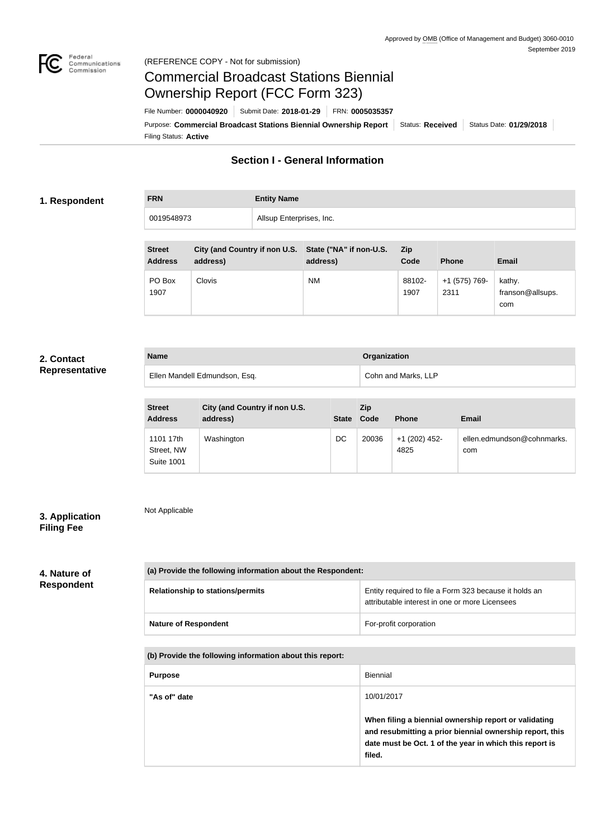

#### Federal<br>Communications<br>Commission (REFERENCE COPY - Not for submission)

# Commercial Broadcast Stations Biennial Ownership Report (FCC Form 323)

Filing Status: **Active** Purpose: Commercial Broadcast Stations Biennial Ownership Report Status: Received Status Date: 01/29/2018 File Number: **0000040920** Submit Date: **2018-01-29** FRN: **0005035357**

### **Section I - General Information**

#### **1. Respondent**

**FRN Entity Name** 0019548973 Allsup Enterprises, Inc.

| <b>Street</b><br><b>Address</b> | City (and Country if non U.S. State ("NA" if non-U.S.<br>address) | address)  | <b>Zip</b><br>Code | <b>Phone</b>          | Email                             |
|---------------------------------|-------------------------------------------------------------------|-----------|--------------------|-----------------------|-----------------------------------|
| PO Box<br>1907                  | Clovis                                                            | <b>NM</b> | 88102-<br>1907     | +1 (575) 769-<br>2311 | kathy.<br>franson@allsups.<br>com |

#### **2. Contact Representative**

| <b>Name</b>                   | <b>Organization</b> |
|-------------------------------|---------------------|
| Ellen Mandell Edmundson, Esq. | Cohn and Marks, LLP |

| <b>Street</b><br><b>Address</b>              | City (and Country if non U.S.<br>address) |    | Zip<br>State Code | <b>Phone</b>          | <b>Email</b>                      |
|----------------------------------------------|-------------------------------------------|----|-------------------|-----------------------|-----------------------------------|
| 1101 17th<br>Street, NW<br><b>Suite 1001</b> | Washington                                | DC | 20036             | +1 (202) 452-<br>4825 | ellen.edmundson@cohnmarks.<br>com |

#### **3. Application Filing Fee**

Not Applicable

## **4. Nature of Respondent**

| (a) Provide the following information about the Respondent: |                                                                                                          |  |  |  |
|-------------------------------------------------------------|----------------------------------------------------------------------------------------------------------|--|--|--|
| <b>Relationship to stations/permits</b>                     | Entity required to file a Form 323 because it holds an<br>attributable interest in one or more Licensees |  |  |  |
| <b>Nature of Respondent</b>                                 | For-profit corporation                                                                                   |  |  |  |

**(b) Provide the following information about this report:**

| <b>Purpose</b> | Biennial                                                                                                                                                                               |
|----------------|----------------------------------------------------------------------------------------------------------------------------------------------------------------------------------------|
| "As of" date   | 10/01/2017                                                                                                                                                                             |
|                | When filing a biennial ownership report or validating<br>and resubmitting a prior biennial ownership report, this<br>date must be Oct. 1 of the year in which this report is<br>filed. |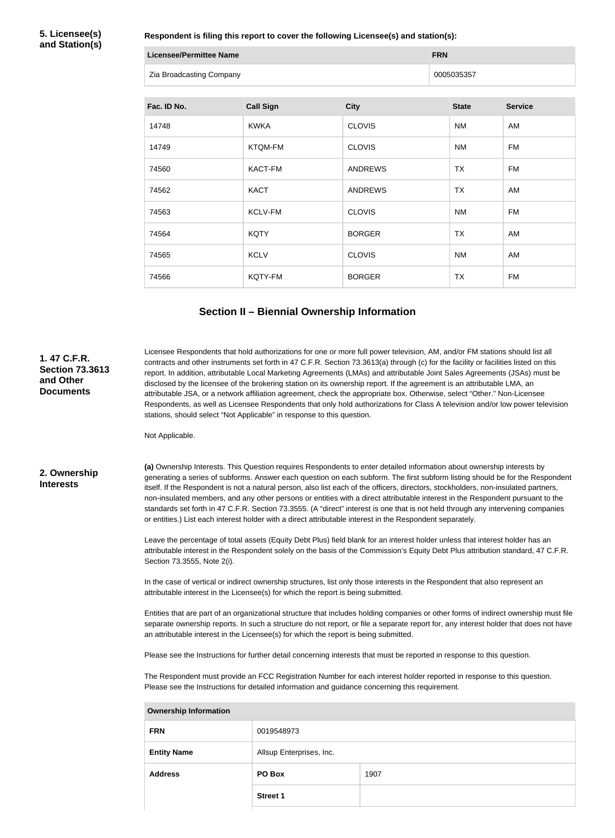**5. Licensee(s) and Station(s)**

**Respondent is filing this report to cover the following Licensee(s) and station(s):**

| Licensee/Permittee Name  | <b>FRN</b> |
|--------------------------|------------|
| Zia Broadcasting Company | 0005035357 |

| Fac. ID No. | <b>Call Sign</b> | <b>City</b>    | <b>State</b> | <b>Service</b> |
|-------------|------------------|----------------|--------------|----------------|
| 14748       | <b>KWKA</b>      | <b>CLOVIS</b>  | <b>NM</b>    | AM             |
| 14749       | <b>KTQM-FM</b>   | <b>CLOVIS</b>  | <b>NM</b>    | <b>FM</b>      |
| 74560       | <b>KACT-FM</b>   | <b>ANDREWS</b> | <b>TX</b>    | <b>FM</b>      |
| 74562       | <b>KACT</b>      | <b>ANDREWS</b> | <b>TX</b>    | AM             |
| 74563       | KCLV-FM          | <b>CLOVIS</b>  | <b>NM</b>    | <b>FM</b>      |
| 74564       | <b>KQTY</b>      | <b>BORGER</b>  | TX           | AM             |
| 74565       | <b>KCLV</b>      | <b>CLOVIS</b>  | <b>NM</b>    | AM             |
| 74566       | KQTY-FM          | <b>BORGER</b>  | <b>TX</b>    | <b>FM</b>      |

## **Section II – Biennial Ownership Information**

| 1.47 C.F.R.<br><b>Section 73.3613</b><br>and Other<br><b>Documents</b> | Licensee Respondents that hold authorizations for one or more full power television, AM, and/or FM stations should list all<br>contracts and other instruments set forth in 47 C.F.R. Section 73.3613(a) through (c) for the facility or facilities listed on this<br>report. In addition, attributable Local Marketing Agreements (LMAs) and attributable Joint Sales Agreements (JSAs) must be<br>disclosed by the licensee of the brokering station on its ownership report. If the agreement is an attributable LMA, an<br>attributable JSA, or a network affiliation agreement, check the appropriate box. Otherwise, select "Other." Non-Licensee<br>Respondents, as well as Licensee Respondents that only hold authorizations for Class A television and/or low power television<br>stations, should select "Not Applicable" in response to this question.<br>Not Applicable. |                          |                                                                                                                                                                                                                                                                              |  |  |
|------------------------------------------------------------------------|---------------------------------------------------------------------------------------------------------------------------------------------------------------------------------------------------------------------------------------------------------------------------------------------------------------------------------------------------------------------------------------------------------------------------------------------------------------------------------------------------------------------------------------------------------------------------------------------------------------------------------------------------------------------------------------------------------------------------------------------------------------------------------------------------------------------------------------------------------------------------------------|--------------------------|------------------------------------------------------------------------------------------------------------------------------------------------------------------------------------------------------------------------------------------------------------------------------|--|--|
| 2. Ownership<br><b>Interests</b>                                       | (a) Ownership Interests. This Question requires Respondents to enter detailed information about ownership interests by<br>generating a series of subforms. Answer each question on each subform. The first subform listing should be for the Respondent<br>itself. If the Respondent is not a natural person, also list each of the officers, directors, stockholders, non-insulated partners,<br>non-insulated members, and any other persons or entities with a direct attributable interest in the Respondent pursuant to the<br>standards set forth in 47 C.F.R. Section 73.3555. (A "direct" interest is one that is not held through any intervening companies<br>or entities.) List each interest holder with a direct attributable interest in the Respondent separately.                                                                                                     |                          |                                                                                                                                                                                                                                                                              |  |  |
|                                                                        | Section 73.3555, Note 2(i).                                                                                                                                                                                                                                                                                                                                                                                                                                                                                                                                                                                                                                                                                                                                                                                                                                                           |                          | Leave the percentage of total assets (Equity Debt Plus) field blank for an interest holder unless that interest holder has an<br>attributable interest in the Respondent solely on the basis of the Commission's Equity Debt Plus attribution standard, 47 C.F.R.            |  |  |
|                                                                        | In the case of vertical or indirect ownership structures, list only those interests in the Respondent that also represent an<br>attributable interest in the Licensee(s) for which the report is being submitted.                                                                                                                                                                                                                                                                                                                                                                                                                                                                                                                                                                                                                                                                     |                          |                                                                                                                                                                                                                                                                              |  |  |
|                                                                        | an attributable interest in the Licensee(s) for which the report is being submitted.                                                                                                                                                                                                                                                                                                                                                                                                                                                                                                                                                                                                                                                                                                                                                                                                  |                          | Entities that are part of an organizational structure that includes holding companies or other forms of indirect ownership must file<br>separate ownership reports. In such a structure do not report, or file a separate report for, any interest holder that does not have |  |  |
|                                                                        |                                                                                                                                                                                                                                                                                                                                                                                                                                                                                                                                                                                                                                                                                                                                                                                                                                                                                       |                          | Please see the Instructions for further detail concerning interests that must be reported in response to this question.                                                                                                                                                      |  |  |
|                                                                        | The Respondent must provide an FCC Registration Number for each interest holder reported in response to this question.<br>Please see the Instructions for detailed information and guidance concerning this requirement.                                                                                                                                                                                                                                                                                                                                                                                                                                                                                                                                                                                                                                                              |                          |                                                                                                                                                                                                                                                                              |  |  |
|                                                                        | <b>Ownership Information</b>                                                                                                                                                                                                                                                                                                                                                                                                                                                                                                                                                                                                                                                                                                                                                                                                                                                          |                          |                                                                                                                                                                                                                                                                              |  |  |
|                                                                        | 0019548973<br><b>FRN</b>                                                                                                                                                                                                                                                                                                                                                                                                                                                                                                                                                                                                                                                                                                                                                                                                                                                              |                          |                                                                                                                                                                                                                                                                              |  |  |
|                                                                        | <b>Entity Name</b>                                                                                                                                                                                                                                                                                                                                                                                                                                                                                                                                                                                                                                                                                                                                                                                                                                                                    | Allsup Enterprises, Inc. |                                                                                                                                                                                                                                                                              |  |  |
|                                                                        | <b>Address</b>                                                                                                                                                                                                                                                                                                                                                                                                                                                                                                                                                                                                                                                                                                                                                                                                                                                                        | PO Box                   | 1907                                                                                                                                                                                                                                                                         |  |  |
|                                                                        |                                                                                                                                                                                                                                                                                                                                                                                                                                                                                                                                                                                                                                                                                                                                                                                                                                                                                       | Street 1                 |                                                                                                                                                                                                                                                                              |  |  |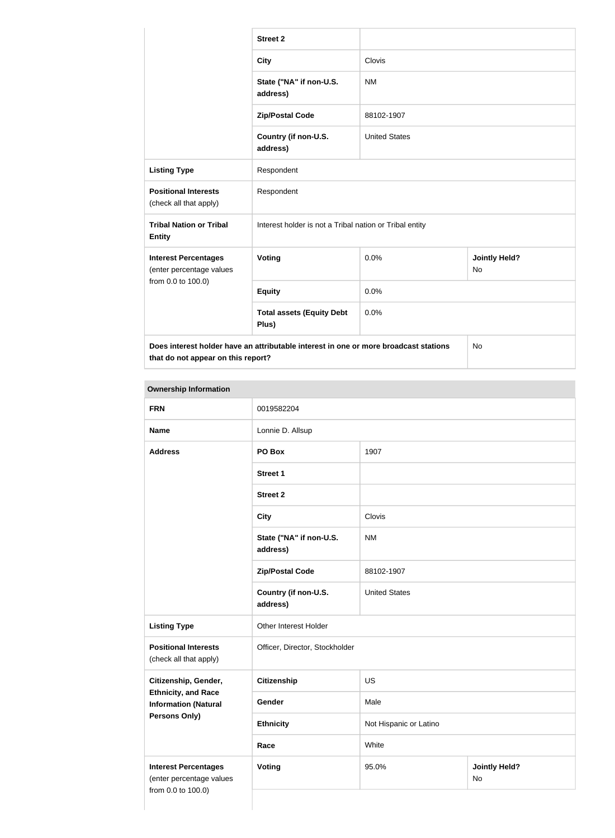|                                                         | <b>Street 2</b>                                                                      |                      |                            |  |
|---------------------------------------------------------|--------------------------------------------------------------------------------------|----------------------|----------------------------|--|
|                                                         | <b>City</b>                                                                          | Clovis               |                            |  |
|                                                         | State ("NA" if non-U.S.<br>address)                                                  | <b>NM</b>            |                            |  |
|                                                         | <b>Zip/Postal Code</b>                                                               | 88102-1907           |                            |  |
|                                                         | Country (if non-U.S.<br>address)                                                     | <b>United States</b> |                            |  |
| <b>Listing Type</b>                                     | Respondent                                                                           |                      |                            |  |
| <b>Positional Interests</b><br>(check all that apply)   | Respondent                                                                           |                      |                            |  |
| <b>Tribal Nation or Tribal</b><br><b>Entity</b>         | Interest holder is not a Tribal nation or Tribal entity                              |                      |                            |  |
| <b>Interest Percentages</b><br>(enter percentage values | Voting                                                                               | 0.0%                 | <b>Jointly Held?</b><br>No |  |
| from 0.0 to 100.0)                                      | <b>Equity</b>                                                                        | 0.0%                 |                            |  |
|                                                         | <b>Total assets (Equity Debt</b><br>Plus)                                            | 0.0%                 |                            |  |
| that do not appear on this report?                      | Does interest holder have an attributable interest in one or more broadcast stations |                      | <b>No</b>                  |  |

#### **Ownership Information**

| <b>FRN</b>                                                | 0019582204                          |                                     |  |  |
|-----------------------------------------------------------|-------------------------------------|-------------------------------------|--|--|
| <b>Name</b>                                               | Lonnie D. Allsup                    |                                     |  |  |
| <b>Address</b>                                            | PO Box                              | 1907                                |  |  |
|                                                           | <b>Street 1</b>                     |                                     |  |  |
|                                                           | <b>Street 2</b>                     |                                     |  |  |
|                                                           | <b>City</b>                         | Clovis                              |  |  |
|                                                           | State ("NA" if non-U.S.<br>address) | <b>NM</b>                           |  |  |
|                                                           | <b>Zip/Postal Code</b>              | 88102-1907                          |  |  |
|                                                           | Country (if non-U.S.<br>address)    | <b>United States</b>                |  |  |
| <b>Listing Type</b>                                       | Other Interest Holder               |                                     |  |  |
| <b>Positional Interests</b><br>(check all that apply)     | Officer, Director, Stockholder      |                                     |  |  |
| Citizenship, Gender,                                      | <b>Citizenship</b>                  | <b>US</b>                           |  |  |
| <b>Ethnicity, and Race</b><br><b>Information (Natural</b> | Gender                              | Male                                |  |  |
| <b>Persons Only)</b>                                      | <b>Ethnicity</b>                    | Not Hispanic or Latino              |  |  |
|                                                           | Race                                | White                               |  |  |
| <b>Interest Percentages</b><br>(enter percentage values   | <b>Voting</b>                       | 95.0%<br><b>Jointly Held?</b><br>No |  |  |
| from 0.0 to 100.0)                                        |                                     |                                     |  |  |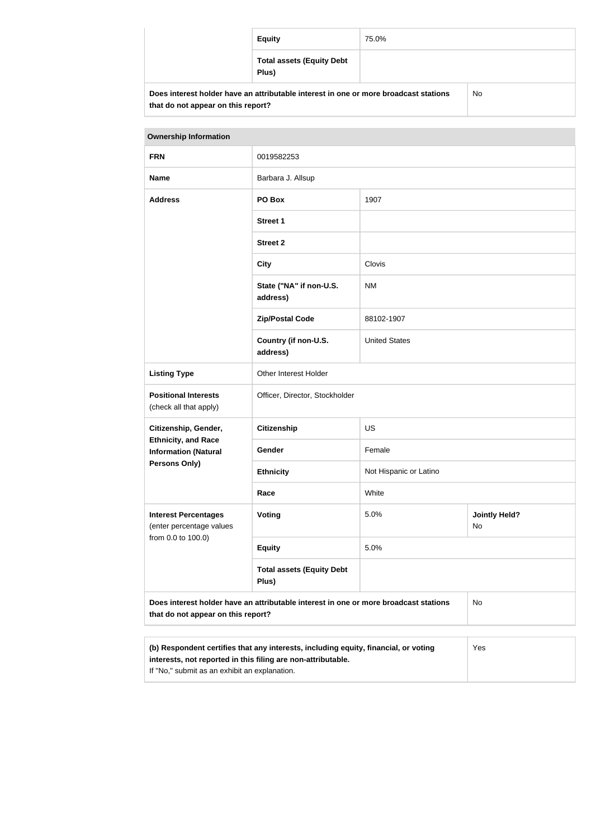| <b>Equity</b>                                                                        | 75.0% |    |
|--------------------------------------------------------------------------------------|-------|----|
| <b>Total assets (Equity Debt</b><br>Plus)                                            |       |    |
| Does interest holder have an attributable interest in one or more broadcast stations |       | No |

| <b>Ownership Information</b>                                                                                                                               |                                           |                        |                            |  |
|------------------------------------------------------------------------------------------------------------------------------------------------------------|-------------------------------------------|------------------------|----------------------------|--|
| <b>FRN</b>                                                                                                                                                 | 0019582253                                |                        |                            |  |
| <b>Name</b>                                                                                                                                                | Barbara J. Allsup                         |                        |                            |  |
| <b>Address</b>                                                                                                                                             | PO Box                                    | 1907                   |                            |  |
|                                                                                                                                                            | <b>Street 1</b>                           |                        |                            |  |
|                                                                                                                                                            | <b>Street 2</b>                           |                        |                            |  |
|                                                                                                                                                            | <b>City</b>                               | Clovis                 |                            |  |
|                                                                                                                                                            | State ("NA" if non-U.S.<br>address)       | <b>NM</b>              |                            |  |
|                                                                                                                                                            | <b>Zip/Postal Code</b>                    | 88102-1907             |                            |  |
|                                                                                                                                                            | Country (if non-U.S.<br>address)          | <b>United States</b>   |                            |  |
| <b>Listing Type</b>                                                                                                                                        | Other Interest Holder                     |                        |                            |  |
| <b>Positional Interests</b><br>(check all that apply)                                                                                                      | Officer, Director, Stockholder            |                        |                            |  |
| Citizenship, Gender,                                                                                                                                       | <b>Citizenship</b>                        | <b>US</b>              |                            |  |
| <b>Ethnicity, and Race</b><br><b>Information (Natural</b>                                                                                                  | Gender                                    | Female                 |                            |  |
| <b>Persons Only)</b>                                                                                                                                       | <b>Ethnicity</b>                          | Not Hispanic or Latino |                            |  |
|                                                                                                                                                            | Race                                      | White                  |                            |  |
| <b>Interest Percentages</b><br>(enter percentage values                                                                                                    | Voting                                    | 5.0%                   | <b>Jointly Held?</b><br>No |  |
| from 0.0 to 100.0)                                                                                                                                         | <b>Equity</b>                             | 5.0%                   |                            |  |
|                                                                                                                                                            | <b>Total assets (Equity Debt</b><br>Plus) |                        |                            |  |
| Does interest holder have an attributable interest in one or more broadcast stations<br>No<br>that do not appear on this report?                           |                                           |                        |                            |  |
|                                                                                                                                                            |                                           |                        |                            |  |
| (b) Respondent certifies that any interests, including equity, financial, or voting<br>Yes<br>interests, not reported in this filing are non-attributable. |                                           |                        |                            |  |

If "No," submit as an exhibit an explanation.

**that do not appear on this report?**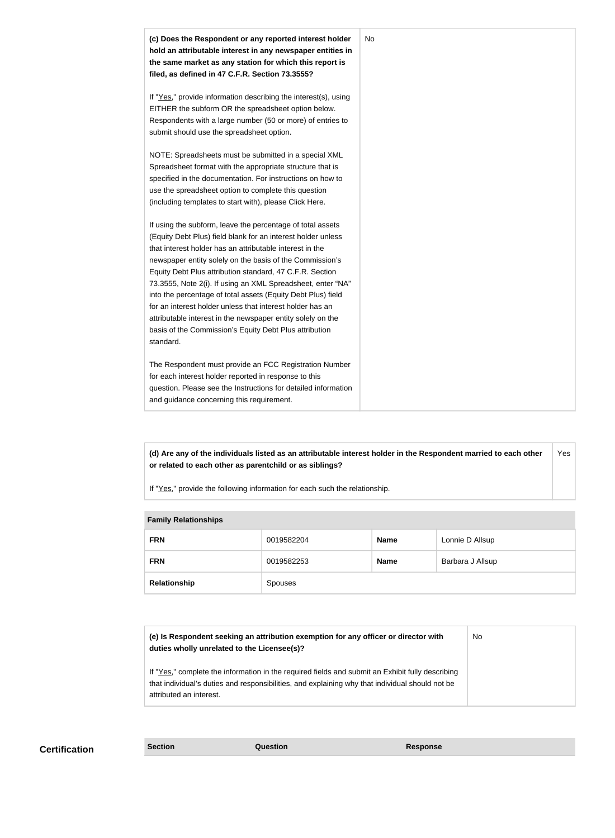

**(d) Are any of the individuals listed as an attributable interest holder in the Respondent married to each other or related to each other as parentchild or as siblings?** Yes

If "Yes," provide the following information for each such the relationship.

| <b>Family Relationships</b> |            |             |                  |  |
|-----------------------------|------------|-------------|------------------|--|
| <b>FRN</b>                  | 0019582204 | <b>Name</b> | Lonnie D Allsup  |  |
| <b>FRN</b>                  | 0019582253 | <b>Name</b> | Barbara J Allsup |  |
| Relationship                | Spouses    |             |                  |  |

**Family Relationships**

| (e) Is Respondent seeking an attribution exemption for any officer or director with<br>duties wholly unrelated to the Licensee(s)?                                                                                             | No |
|--------------------------------------------------------------------------------------------------------------------------------------------------------------------------------------------------------------------------------|----|
| If "Yes," complete the information in the required fields and submit an Exhibit fully describing<br>that individual's duties and responsibilities, and explaining why that individual should not be<br>attributed an interest. |    |

**Certification Section Question Response**